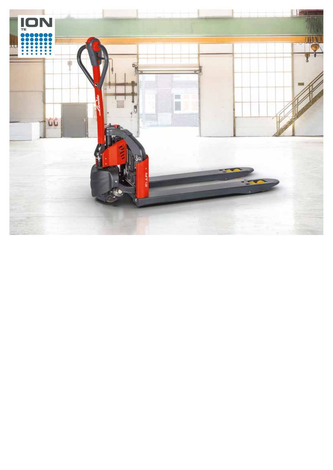

# ELECTRIC PALLET TRUCK MT12

### CAPACITY 1200 KG | SERIES 1131–00

#### Safety

compactness guarantees maximum manoeuverability when operating inside lorries or confined spaces.

### Comfort

The compact and exchangeable Li-ION batteries allows opportunity charging via the external charger at any convenient power point for optimum uptime. All controls located on the ergonomic tiller. The dual butterfly levers for traction and the lifting function can be easily operated by either hand to ensure precise operation.

#### Reliability

The durable drive unit of the MT12 delivers consistent high performance and reliability. The robust chassis has a reinforced fork structure for safe, efficient handling of loads up to 1200 kg. The automatic lift stop at maximum lift height improves the quality and durability of components, protects the pump unit and reduces noise.

### Service

The DC drive motor optimizes uptime between routine service periods and reduces service costs, while a reliable, energy efficient controller delivers smooth handling performance. All truck data is immediately and easy accessible to the service engineer via the CAN-bus architecture.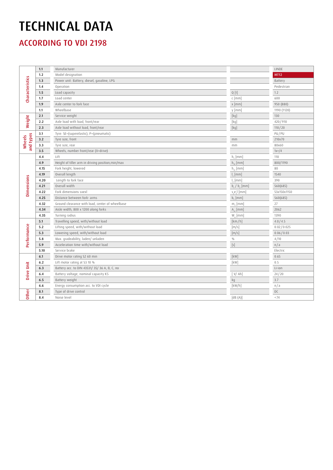### TECHNICAL DATA

ACCORDING TO VDI 2198

| <b>Characteristics</b>        | 1.1  | Manufacturer                                      |                                                                                                                                                                                                                                                                                                                                                                                                                                                                                                                                                                             | LINDE        |
|-------------------------------|------|---------------------------------------------------|-----------------------------------------------------------------------------------------------------------------------------------------------------------------------------------------------------------------------------------------------------------------------------------------------------------------------------------------------------------------------------------------------------------------------------------------------------------------------------------------------------------------------------------------------------------------------------|--------------|
|                               | 1.2  | Model designation                                 |                                                                                                                                                                                                                                                                                                                                                                                                                                                                                                                                                                             | <b>MT12</b>  |
|                               | 1.3  | Power unit: Battery, diesel, gasoline, LPG        |                                                                                                                                                                                                                                                                                                                                                                                                                                                                                                                                                                             | Battery      |
|                               | 1.4  | Operation                                         |                                                                                                                                                                                                                                                                                                                                                                                                                                                                                                                                                                             | Pedestrian   |
|                               | 1.5  | Load capacity                                     | Q[t]                                                                                                                                                                                                                                                                                                                                                                                                                                                                                                                                                                        | 1.2          |
|                               | 1.7  | Load center                                       | $c$ [mm]                                                                                                                                                                                                                                                                                                                                                                                                                                                                                                                                                                    | 600          |
|                               | 1.9  | Axle center to fork face                          | $x \, \text{[mm]}$                                                                                                                                                                                                                                                                                                                                                                                                                                                                                                                                                          | 950 (880)    |
|                               | 1.1  | Wheelbase                                         | y [mm]                                                                                                                                                                                                                                                                                                                                                                                                                                                                                                                                                                      | 1190 (1120)  |
| Weight<br>and types<br>Wheels | 2.1  | Service weight                                    | $[kg]$                                                                                                                                                                                                                                                                                                                                                                                                                                                                                                                                                                      | 130          |
|                               | 2.2  | Axle load with load, front/rear                   | [kg]                                                                                                                                                                                                                                                                                                                                                                                                                                                                                                                                                                        | 420/910      |
|                               | 2.3  | Axle load without load, front/rear                | [kg]                                                                                                                                                                                                                                                                                                                                                                                                                                                                                                                                                                        | 110 / 20     |
|                               | 3.1  | Tyre: SE=(superelastic), P=(pneumatic)            |                                                                                                                                                                                                                                                                                                                                                                                                                                                                                                                                                                             | PU/PU        |
|                               | 3.2  | Tyre size, front                                  | mm                                                                                                                                                                                                                                                                                                                                                                                                                                                                                                                                                                          | 210x70       |
|                               | 3.3  | Tyre size, rear                                   | mm                                                                                                                                                                                                                                                                                                                                                                                                                                                                                                                                                                          | 80x60        |
|                               | 3.5  | Wheels, number front/rear (X=drive)               |                                                                                                                                                                                                                                                                                                                                                                                                                                                                                                                                                                             | $1x+ / 4$    |
|                               | 4.4  | Lift                                              | h, [mm]                                                                                                                                                                                                                                                                                                                                                                                                                                                                                                                                                                     | 110          |
|                               | 4.9  | Height of tiller arm in driving position, min/max | $h_{14}$ [mm]                                                                                                                                                                                                                                                                                                                                                                                                                                                                                                                                                               | 800/1190     |
| <b>Dimensions</b>             | 4.15 | Fork height, lowered                              | $h_n$ [mm]                                                                                                                                                                                                                                                                                                                                                                                                                                                                                                                                                                  | 80           |
|                               | 4.19 | Overall length                                    | I, [mm]                                                                                                                                                                                                                                                                                                                                                                                                                                                                                                                                                                     | 1540         |
|                               | 4.20 | Length to fork face                               | l, [mm]                                                                                                                                                                                                                                                                                                                                                                                                                                                                                                                                                                     | 390          |
|                               | 4.21 | Overall width                                     | b, / b, [mm]                                                                                                                                                                                                                                                                                                                                                                                                                                                                                                                                                                | 560(685)     |
|                               | 4.22 | Fork dimensions sxexl                             | $s_x e_x$ l [mm]                                                                                                                                                                                                                                                                                                                                                                                                                                                                                                                                                            | 53x150x1150  |
|                               | 4.25 | Distance between fork- arms                       | $b_{c}$ [mm]                                                                                                                                                                                                                                                                                                                                                                                                                                                                                                                                                                | 560(685)     |
|                               | 4.32 | Ground clearance with load, center of wheelbase   | m, [mm]                                                                                                                                                                                                                                                                                                                                                                                                                                                                                                                                                                     | 27           |
|                               | 4.34 | Aisle width, 800 x 1200 along forks               | $A_{n}$ [mm]                                                                                                                                                                                                                                                                                                                                                                                                                                                                                                                                                                | 2062         |
|                               | 4.35 | Turning radius                                    | $W_{.}$ [mm]                                                                                                                                                                                                                                                                                                                                                                                                                                                                                                                                                                | 1390         |
|                               | 5.1  | Travelling speed, with/without load               | [km/h]                                                                                                                                                                                                                                                                                                                                                                                                                                                                                                                                                                      | 4.0 / 4.5    |
|                               | 5.2  | Lifting speed, with/without load                  | [m/s]                                                                                                                                                                                                                                                                                                                                                                                                                                                                                                                                                                       | 0.02 / 0.025 |
| Performance                   | 5.3  | Lowering speed, with/without load                 | [m/s]                                                                                                                                                                                                                                                                                                                                                                                                                                                                                                                                                                       | 0.06/0.03    |
|                               | 5.8  | Max. gradeability, laden/ unladen                 | $\frac{0}{0}$                                                                                                                                                                                                                                                                                                                                                                                                                                                                                                                                                               | 4/10         |
|                               | 5.9  | Acceleration time with/without load               | $[5] \centering% \includegraphics[width=1.0\textwidth]{figs/fig_03.pdf} \includegraphics[width=1.0\textwidth]{figs/fig_03.pdf} \includegraphics[width=1.0\textwidth]{figs/fig_03.pdf} \includegraphics[width=1.0\textwidth]{figs/fig_03.pdf} \includegraphics[width=1.0\textwidth]{figs/fig_03.pdf} \includegraphics[width=1.0\textwidth]{figs/fig_03.pdf} \includegraphics[width=1.0\textwidth]{figs/fig_03.pdf} \includegraphics[width=1.0\textwidth]{figs/fig_03.pdf} \includegraphics[width=1.0\textwidth]{figs/fig_03.pdf} \includegraphics[width=1.0\textwidth]{figs$ | n/a          |
|                               | 5.10 | Service brake                                     |                                                                                                                                                                                                                                                                                                                                                                                                                                                                                                                                                                             | Electric     |
| Drive Unit                    | 6.1  | Drive motor rating S2 60 min                      | [kW]                                                                                                                                                                                                                                                                                                                                                                                                                                                                                                                                                                        | 0.65         |
|                               | 6.2  | Lift motor rating at S3 10 %                      | [kW]                                                                                                                                                                                                                                                                                                                                                                                                                                                                                                                                                                        | 0.5          |
|                               | 6.3  | Battery acc. to DIN 43531/35/36 A, B, C, no       |                                                                                                                                                                                                                                                                                                                                                                                                                                                                                                                                                                             | Li-ion       |
|                               | 6.4  | Battery voltage, nominal capacity K5              | [V/ Ah]                                                                                                                                                                                                                                                                                                                                                                                                                                                                                                                                                                     | 24/20        |
|                               | 6.5  | Battery weight                                    | kg                                                                                                                                                                                                                                                                                                                                                                                                                                                                                                                                                                          | 3.7          |
|                               | 6.6  | Energy consumption acc. to VDI cycle              | [kW/h]                                                                                                                                                                                                                                                                                                                                                                                                                                                                                                                                                                      | n/a          |
| <b>Other</b>                  | 8.1  | Type of drive control                             |                                                                                                                                                                                                                                                                                                                                                                                                                                                                                                                                                                             | DC           |
|                               | 8.4  | Noise level                                       | [dB(A)]                                                                                                                                                                                                                                                                                                                                                                                                                                                                                                                                                                     | < 74         |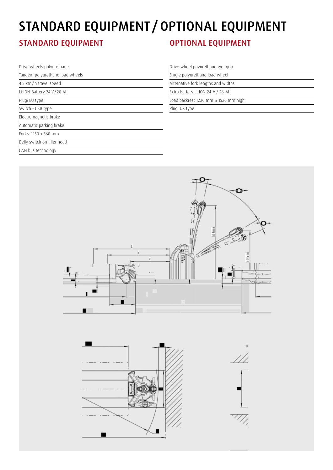# STANDARD EQUIPMENT / OPTIONAL EQUIPMENT

### STANDARD EQUIPMENT

|  | OPTIONAL EQUIPMENT |  |  |  |
|--|--------------------|--|--|--|
|  |                    |  |  |  |

| Drive wheels polyurethane       |                          |
|---------------------------------|--------------------------|
| Tandem polyurethane load wheels | $\overline{\phantom{a}}$ |
| 4.5 km/h travel speed           | ŀ                        |
| Li-ION Battery 24 V/20 Ah       | E                        |
| Plug: EU type                   |                          |
| Switch - USB type               | F                        |
| Electromagnetic brake           |                          |
| Automatic parking brake         |                          |
| Forks: 1150 x 560 mm            |                          |
| Belly switch on tiller head     |                          |
| CAN bus technology              |                          |

| Drive wheel poyurethane wet grip     |
|--------------------------------------|
| Single polyurethane load wheel       |
| Alternative fork lengths and widths  |
| Extra battery Li-ION 24 V / 26 Ah    |
| Load backrest 1220 mm & 1520 mm high |
| Plug: UK type                        |